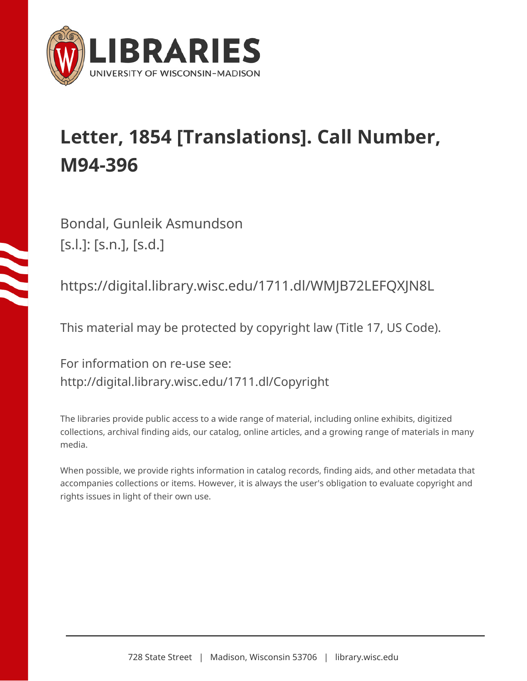

## **Letter, 1854 [Translations]. Call Number, M94-396**

Bondal, Gunleik Asmundson [s.l.]: [s.n.], [s.d.]

https://digital.library.wisc.edu/1711.dl/WMJB72LEFQXJN8L

This material may be protected by copyright law (Title 17, US Code).

For information on re-use see: http://digital.library.wisc.edu/1711.dl/Copyright

The libraries provide public access to a wide range of material, including online exhibits, digitized collections, archival finding aids, our catalog, online articles, and a growing range of materials in many media.

When possible, we provide rights information in catalog records, finding aids, and other metadata that accompanies collections or items. However, it is always the user's obligation to evaluate copyright and rights issues in light of their own use.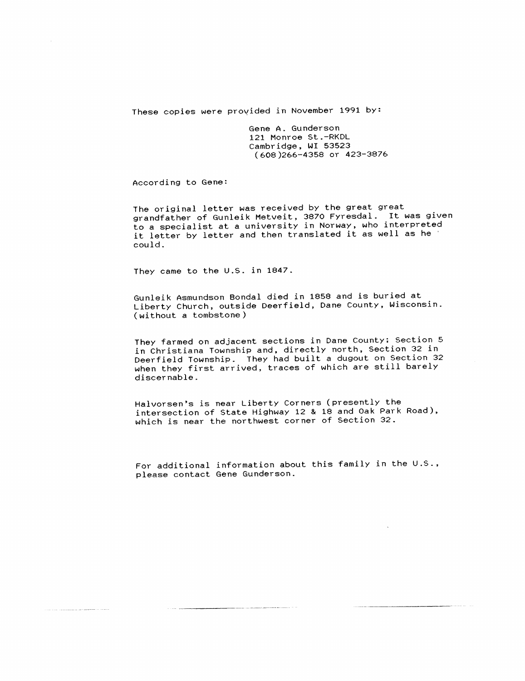These copies were provided in November 1991 by:

Gene A. Gunderson 121 Monroe St.-RKDL Cambridge, WI 53523 (608 }266~4358 or 423-3876

According to Gene:

The original letter was received by the great great grandfather of Gunleik Metveit, 3870 Fyresdal. It was given to a specialist at a university in Norway, who interpreted it letter by letter and then translated it as well as he could.

They came to the U.S. in 1847.

Gunleik Asmundson Bondal died in 1858 and is buried at Liberty Church, outside Deerfield, Dane County, Wisconsin. (without a tombstone )

They farmed on adjacent sections in Dane County; Section 5 in Christiana Township and, directly north, Section 32 in Deerfield Township. They had built a dugout on Section 32 when they first arrived, traces of which are still barely discernable.

Halvorsen's is near Liberty Corners (presently the intersection of State Highway 12 & 18 and Oak Park Road), which is near the northwest corner of Section 32.

For additional information about this family in the U.S., please contact Gene Gunderson.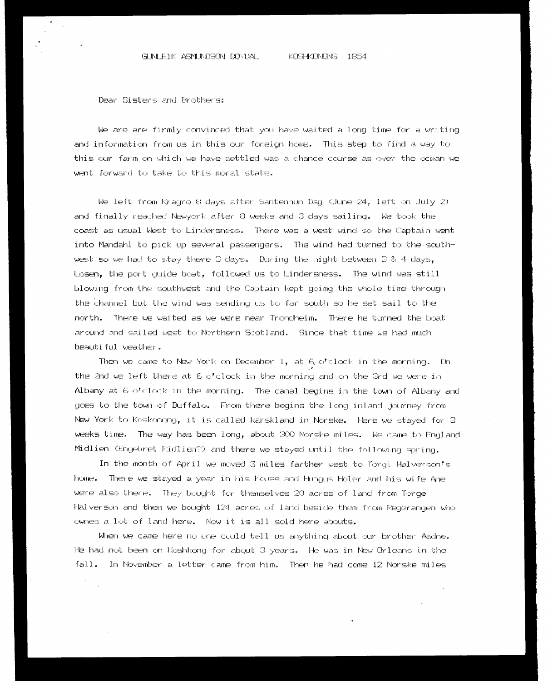## GUNLETK ASMUNDSON GONDAL KRISHEDIMOMS 1654

Dear Sisters anc Brocker a:

We are are firmly canvinced that you have waited a long bime for a writing and information from us in this cur foreign home. This step to find a way to thie our farm on which we have settled was a chance course as over the ocean we went forward to take to this moral state.

We left from Kragro 8 days after Santenhun Dag (June 24, left on July 2) and finally reached Newyork after 8 weeks and 3 days sailing. We took the coast as usual West to Lindersness. There was a west wind so the Captain went inte Mandakil te pick wp geveral pageangers. Tha wind had turmed to the eacuthwest so we had to stay there 3 days. During the night between 3 & 4 days, Losen, the port guide boat, followed us to Lindersness. The wind was still blowing from the geubhwest and bhe Captain keot aedmag the wiele time through the channel but the wind was sending us to far south so he set sail to the nevth, There we waitec as we were near Trondheim There he turned the boat arcund and sailed west to Northern Scotland. Since that time we had much beautiful weecbkhes .

Then we came to New York on December 1, at 6 o'clock in the morning. On the 2nd we left there at 6 o'clock in the morning and on the Grd we were in Albany at  $G \circ C$ clock in the morning. The canal begins in the town of Albany and goes to the town of Buffalo. From there begins the long inland journey from New York to Koskonong, it is called karskland in Norske. Here we stayed for 3 weeks time. The way has been long, about 300 Norske miles. We came to England Midlien (Engebret Ridlien?) and there we stayed until the following spring.

In the month of April we moved 3 miles farther west to Torgi Halverson's home. There we ebayecd a year in his bease anc Murgus Holer anc hiss wi fe Ane were also there. They bought for themselves 20 acres of land from Torge Halverson and then we bought 124 acres of land beside them from Regerangen who ownes a lot of land here. Now it is all sold here abouts.

When we came here no one could tell us anything about our brother Aache. He had not been on Koshkong for about 3 years. He was in New Orleans in the fall. In November a letter came from him. Then he had come 12 Norske miles

'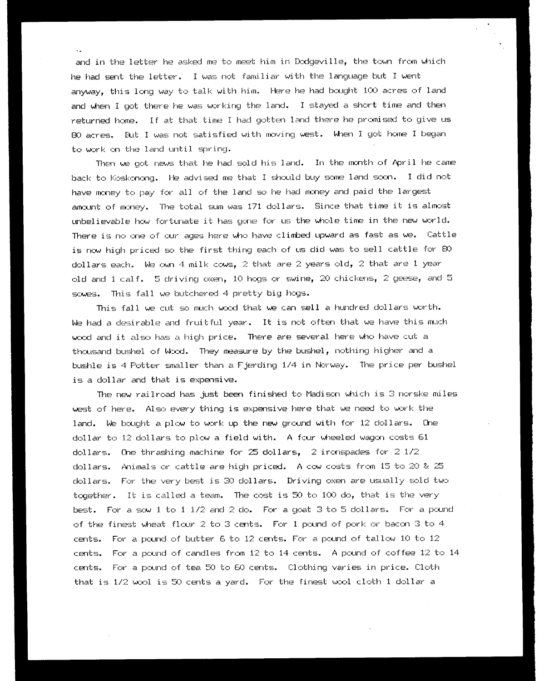and in the letter he asked me to meet him in Dodgeville, the tewn from which he had sent the letter. I was mot familiar with the language but T wert anyway, this leng way ta talk with him, Here he had beaght LOO acres of land and when I got there he was working the land. I stayed a short time and then returned home. If at that time I had gotten land there he promised to give us BO acres. But I was mob sabisfied with moving weet. When T get heme T began to work on the land until spring.

Then we got news that he had sold his land. In the month of April he came back to Koskonong. He advised me that I should buy some land soon. I did not have money to pay for all of the lancl so he had money and paid the lar qest amount of money. The total sum was 171 dollars. Since that time it is almost unbelievable how fortunate it has gone fer us the whole time in the mew world. There is no one of cur ages here who have climbed upward as fast as we. Cattle is now high priced so the first thing each of us did was to sell cattle for 80 dollars each. We cwn 4 milk cows, 2 that are 2 years old, 2 that are 1 year old and 1 calf. 5 driving oxen, 10 hogs or swine, 20 chickens, 2 geese, and 5 sowes. This fall we butchered 4 pretty big hogs.

This fall we cub so much wool that we can sell a hundred collars worth. We had a desirable and fruitful year. It is not often that we have this much wood and it also has a high price. There are several here who have cut a thousand bushel of Wand. They measure by the bushel, mothing higher anc a bushle is 4 Pobter smaller than a Fjerding 17+ in Norway. The price per bushel is a dellar and that is expensive.

The new railroad has just been finished to Madison which is 3 norske miles west of here. Alan every thing is expensive here that we mead te work the land. We bought a plow to work up the new graund with fer Tz dellars. One dollar to 12 dollars ta plew a field with. A four wheeled wagon costs 61 dollars. Ohe thrashing machine for 25 dollars,  $2$  ironspades for  $2$  1/2  $\,$ dollars. Animals or cattle are high priced. A cow costs from 15 to 20 & 25 dollars. Fee the very best is 30 dollars. Driving oxen are usually soled two together. It is called a team. The cost is 50 to 100 do, that is the very best. For a sow i to  $1/2$  and  $2$  do. For a goat 3 to 5 dollars. For a pound of the finest wheat flour 2 to 3 cents. For 1 pound of pork or bacon 3 to 4 cents. For a pound of butter 6 to 12 cents. For a pound of tallow 10 to 12 cents. For a pound of candles from  $12$  to  $14$  cents. A pound of coffee  $12$  to  $14$ certs. For a pound of tea SO ta 60 cents. Clothing varies in price. Cloth that is 1/2 wool ig SO cents a yard. For the finest wool cloth 1 dollar a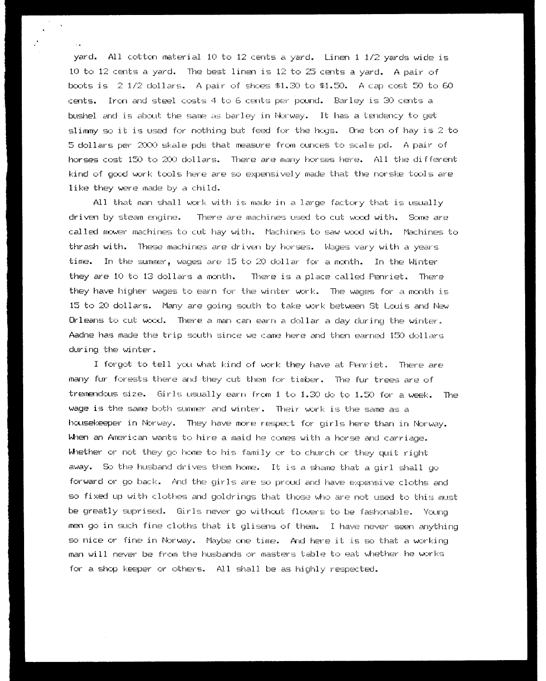yard. All cotton material 10 to 12 cents a yard. Linen i  $1/2$  yards wide is 10 to 12 cents a yard. The best linen is 12 to 25 cents a yard. A pair of basts is  $2\frac{1}{2}$  dellars. A pair of shoes \$1.30 to \$1.50. A cap cost 50 to 60 . cents. Iran and ebeel caste 4 te 6 cents per pound. Barley ia SO cants a bushel and is about the same as barley in Norway. It has a tendency to get slimmy so it is used for nothing but feed for the hegs. One ton of hay is  $2$  to Oo dellars per 2OO0O skele pede that measure from cunces ta gseale pd, A pair of horses cost 150 to 200 dollars. There are many horses here. All the different kind of good work tools here are so expensively made that the norske tools are like they were made by a child.

All that man shall work with is made in a large factory that is usually driven by stean engine. There are machines used te cub wand with. Sone are called mower machines to cut hay with. Machines to saw wood with. Machines to thrash with. These machines are driven by horges. Wages vary with a years time. In the sunner, wages are IS te 2O dellar for a month. In the Winter they are 10 to 13 dollars a month. There is a place called Fenriet. There they have higher wages to earn for the winter work. The wages for a month is 1S te 20 dellars. Marry are going seuth to take work between St louie and New Orleans toa cut wand. There a mam can earn a dellar a day choima the wirrber. Aacing has made the trip eeuth since we cams here and then earned 150 dollars during the wirrter.

I fer get to tell you what kind of work they have at Ferriet. There are many fur forests there and they cut them for timber. The fur trees are of tremendous size. Girls usually earn from  $1$  to  $1.30$  do to  $1.50$  for a week. The wage is the same both summer and winter. Their work is the same as a housekeeper im Nerwey. They have more respect far girls here than im Newey. When an American warke ta hire a maid he comes with a horse and carriage. Whether or not they go home to his family or to church or they quit right away. So the husband drives them home. It is a shame that a girl shall go forwarcl or go back. dAncl the girle are eo proud and have expensive cloths ancl go fixed up with clothes and geledrings that theese who are mot weed ta this must be greatly saysrisecd. Girls mever qe without flowers to be fashonable. Young men go in such fine cloths that it glisens of them. I have never seen anything so nice or fine in Norway. Maybe one time. And here it is so that a working man will never be from the husbands or masters table to eat whether he works for a shop keeper or others. ALL shall be as highly respected.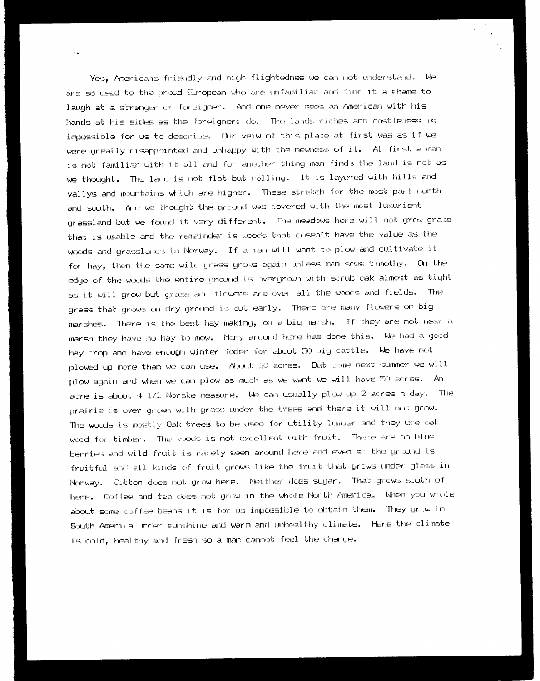Yes, Americans friendly and high flightedres we can mot understand. We are so used to the proud European who are unfamiliar and find it a shame to laugh at a stranger or foreigner. And one never sees an American with his hands at hie sides ag the foreigners da. The lands riches ancl costleness is impossible for us ta dewcribe. Qur veiw of this place at first was as if we were greatly disappointed and unhappy with the newness of it. At first a man ) is met familiar with it all and for another thing man finds the land is not as we thought. The land is mot flat but rolling. It is layered with hills ancl vallys and mountains which are higher. These stretch for the most part north and scuth. And we thought the ground was covered with the most luxurient grassland but we found it very different. The meadows here will not grow grass that is usable and the remainder is woods that dosen't have the value as the woods and grasslands in Norway. If a man will want to plow and cultivate it for hay, then the same wild grass grows again unless man sows timothy. On the edge of the woods the entire ground is overgrown with scrub oak almost as tight as it will grow but grass and flowers are over all the woods and fields. The grass that grows on dry ground is cut early. There are many flowers on big marshes. There is the best hay making, on a big marsh. If they are not near a marsh they have no hay to mow. Many arcund here has done this. We had a good hay crop and have enough winter foder for about 50 big cattle. We have not plowed up more than we can use. About 20 acres. But come next summer we will plow again and when we cam plow as much as we wank we Will have SO acres. An acre is about 4 1/2 Norske measure. We can usually plow up 2 acres a day. The prairie is over grown with grass under the trees and there it will not grow. The woods is mostly Oak trees to be used for utility lumber and they use oak wand fox timber. The woods is nob excellent with fruit. There are mo blue berries and wild fruit is rarely seen arcund here and even eo the graund is fruitful and all kinds cf fruit crows like the fruit thet crews under glass in Nerway. Gobbon daes mot grav here. Neither clears suger. That grows south of here. Coffee and tea does not grow in the whole North America. When you wrote about some coffee beans it is for us impossible to obtain them. They grow in Seuth America uncer sunshine and warm anc unhealthy climate. Here the climate is cold, healthy and fresh so a man cannot feel the change.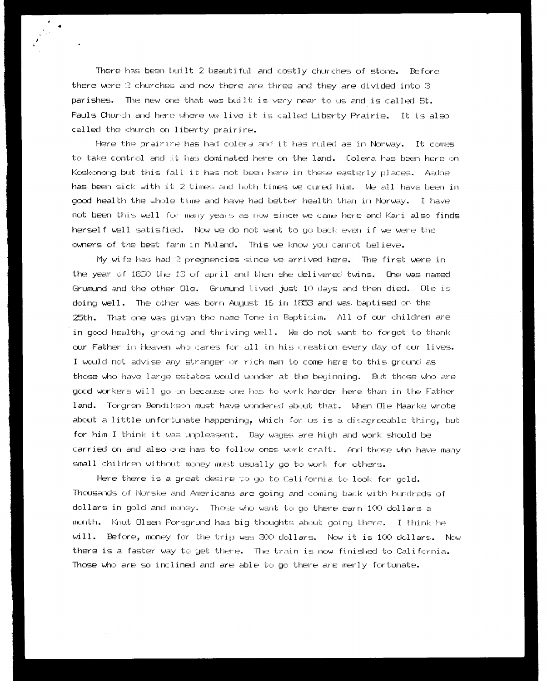There has been built  $2$  beautiful and costly churches of stone. Before there were 2 churches and mow there are three and they are divided imta 3 parishes. The new one that was built is very near to us and is called St. Pauls Church and here where we live it is called Liberty Frairie. It is ale called the church on liberty prairire.

. " ¢  $\mathcal{O}(\mathcal{O}_\mathcal{P})$  ;  $\mathcal{O}(\mathcal{O}_\mathcal{P})$ 

> Here the prairire has had colera and it has ruled as in Norway. It comes te take cantral and it has danimated here on the lanc. Oolera has beer here on Koskonong but this fall it has not been here in these easterly places. Aadne has beam ick with it 2 times and beth times we curecl him. be all have been in gacd health the woole tine and have had better health than in Marway. IT have not been thie well for many years as mow einmce we cane here anc Kari alea finds hergelf well satisfied. New we de mob want te go back even if we were the cwners af Che beat ferm in Moland. This we knew you cannot believe.

> My wife has had 2 pregnencies since we arrived here. The first were in the year of 1850 the 13 of april and then she delivered twins. One was named Grumund and the other Ole. Groumund livec just 10 days and then died. Ole is doing well. The other was born August 16 in 1853 and was baptised on the  $25th$ . That one was given the name Tone in Baptisim. All of our children are in gexd health, growing and thriving well. We de mek wart to forget to thank mur Father in Heaven who cares for all in hia creation every dey of cur Livers. Towould mot advise any etranger ar rich man te cone here to thie ground ag those who have large estates would wonder at the beginning. Eut those who are good workers wild goon because one ham to work harder here than in the Father land. Torgren Bendikson must have wondered about that. When Ole Maarke wrote about a little unfertunate happening, wiich for us is a cligagreeable thing, tut for him I think it was unpleasent. Day wages are high and work should be carried on anc) alec one has to follow ones work craft. Arch those who have many small children without money must usually go to work for others.

> Here there is a great clesire to go to California to look for gold. Theusands of Mareke and Americans are going and caning back with Furcdreds of dollars in gold and money. Those who want to go there earn 100 dollars a manth, nuk Oleen Poragrund has big thoughts abeat going there. I thimk he Will. Before, money for the trip was GoO dellars. New it is 100 dellers. Mew there is a faster way to get there. The train is now finished to California. Those who are so inclined and are able to go there are merly fortunate.